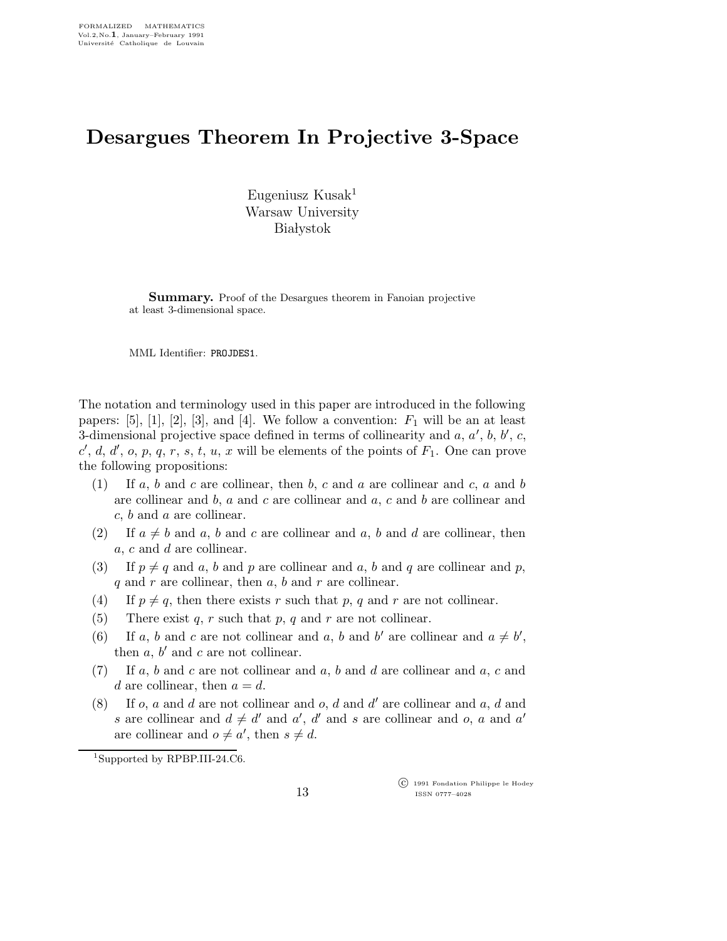## Desargues Theorem In Projective 3-Space

Eugeniusz Kusak<sup>1</sup> Warsaw University **Białystok** 

Summary. Proof of the Desargues theorem in Fanoian projective at least 3-dimensional space.

MML Identifier: PROJDES1.

The notation and terminology used in this paper are introduced in the following papers: [5], [1], [2], [3], and [4]. We follow a convention:  $F_1$  will be an at least 3-dimensional projective space defined in terms of collinearity and  $a, a', b, b', c$ , c', d, d', o, p, q, r, s, t, u, x will be elements of the points of  $F_1$ . One can prove the following propositions:

- (1) If a, b and c are collinear, then b, c and a are collinear and c, a and b are collinear and  $b$ ,  $a$  and  $c$  are collinear and  $a$ ,  $c$  and  $b$  are collinear and  $c, b$  and  $a$  are collinear.
- (2) If  $a \neq b$  and a, b and c are collinear and a, b and d are collinear, then a, c and d are collinear.
- (3) If  $p \neq q$  and a, b and p are collinear and a, b and q are collinear and p,  $q$  and  $r$  are collinear, then  $a, b$  and  $r$  are collinear.
- (4) If  $p \neq q$ , then there exists r such that p, q and r are not collinear.
- (5) There exist q, r such that p, q and r are not collinear.
- (6) If a, b and c are not collinear and a, b and b' are collinear and  $a \neq b'$ , then  $a, b'$  and  $c$  are not collinear.
- $(7)$  If a, b and c are not collinear and a, b and d are collinear and a, c and d are collinear, then  $a = d$ .
- (8) If  $o$ ,  $a$  and  $d$  are not collinear and  $o$ ,  $d$  and  $d'$  are collinear and  $a$ ,  $d$  and s are collinear and  $d \neq d'$  and a', d' and s are collinear and o, a and a' are collinear and  $o \neq a'$ , then  $s \neq d$ .

 $1$ Supported by RPBP.III-24.C6.

 c 1991 Fondation Philippe le Hodey ISSN 0777–4028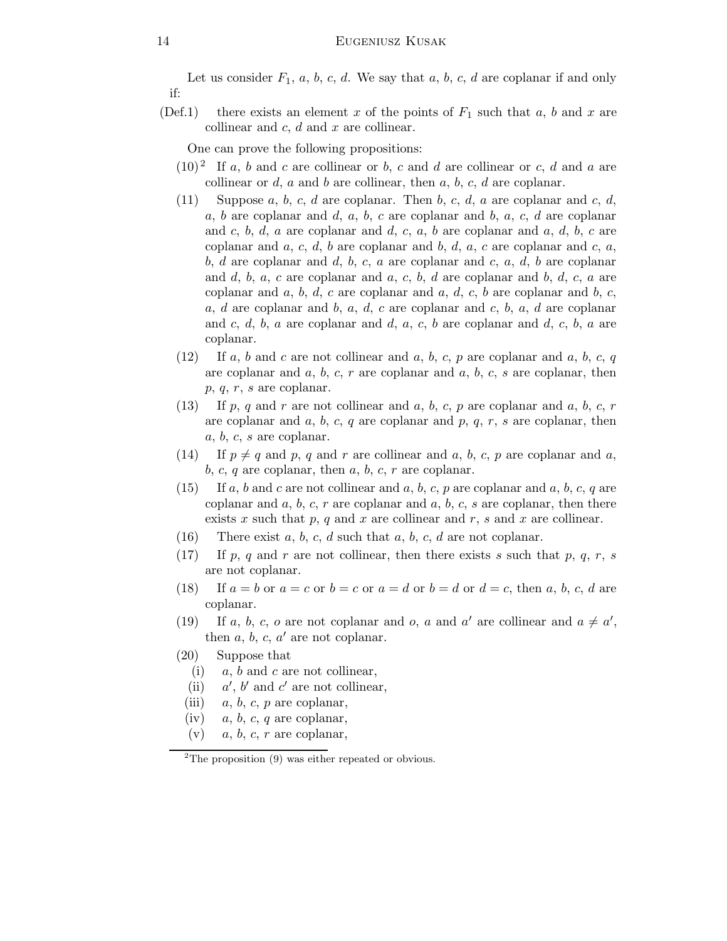Let us consider  $F_1$ ,  $a, b, c, d$ . We say that  $a, b, c, d$  are coplanar if and only if:

(Def.1) there exists an element x of the points of  $F_1$  such that  $a, b$  and x are collinear and  $c, d$  and  $x$  are collinear.

One can prove the following propositions:

- $(10)^2$  If a, b and c are collinear or b, c and d are collinear or c, d and a are collinear or  $d$ ,  $a$  and  $b$  are collinear, then  $a$ ,  $b$ ,  $c$ ,  $d$  are coplanar.
- (11) Suppose a, b, c, d are coplanar. Then b, c, d, a are coplanar and c, d,  $a, b$  are coplanar and  $d, a, b, c$  are coplanar and  $b, a, c, d$  are coplanar and c, b, d, a are coplanar and d, c, a, b are coplanar and a, d, b, c are coplanar and  $a, c, d, b$  are coplanar and  $b, d, a, c$  are coplanar and  $c, a,$ b, d are coplanar and d, b, c, a are coplanar and c, a, d, b are coplanar and  $d, b, a, c$  are coplanar and  $a, c, b, d$  are coplanar and  $b, d, c, a$  are coplanar and  $a, b, d, c$  are coplanar and  $a, d, c, b$  are coplanar and  $b, c, d$ a, d are coplanar and b, a, d, c are coplanar and c, b, a, d are coplanar and  $c, d, b, a$  are coplanar and  $d, a, c, b$  are coplanar and  $d, c, b, a$  are coplanar.
- $(12)$  If a, b and c are not collinear and a, b, c, p are coplanar and a, b, c, q are coplanar and  $a, b, c, r$  are coplanar and  $a, b, c, s$  are coplanar, then p, q, r, s are coplanar.
- (13) If p, q and r are not collinear and a, b, c, p are coplanar and a, b, c, r are coplanar and  $a, b, c, q$  are coplanar and  $p, q, r, s$  are coplanar, then a, b, c, s are coplanar.
- (14) If  $p \neq q$  and p, q and r are collinear and a, b, c, p are coplanar and a,  $b, c, q$  are coplanar, then  $a, b, c, r$  are coplanar.
- $(15)$  If a, b and c are not collinear and a, b, c, p are coplanar and a, b, c, q are coplanar and  $a, b, c, r$  are coplanar and  $a, b, c, s$  are coplanar, then there exists x such that p, q and x are collinear and r, s and x are collinear.
- (16) There exist  $a, b, c, d$  such that  $a, b, c, d$  are not coplanar.
- (17) If p, q and r are not collinear, then there exists s such that p, q, r, s are not coplanar.
- (18) If  $a = b$  or  $a = c$  or  $b = c$  or  $a = d$  or  $b = d$  or  $d = c$ , then a, b, c, d are coplanar.
- (19) If a, b, c, o are not coplanar and o, a and a' are collinear and  $a \neq a'$ , then  $\overline{a}$ ,  $\overline{b}$ ,  $\overline{c}$ ,  $\overline{a}'$  are not coplanar.
- (20) Suppose that
	- (i)  $a, b$  and c are not collinear,
	- $(ii)$  $\ell$ ,  $b'$  and  $c'$  are not collinear,
	- (iii)  $a, b, c, p$  are coplanar,
	- (iv)  $a, b, c, q$  are coplanar,
	- $(v)$  a, b, c, r are coplanar,

 $2$ The proposition  $(9)$  was either repeated or obvious.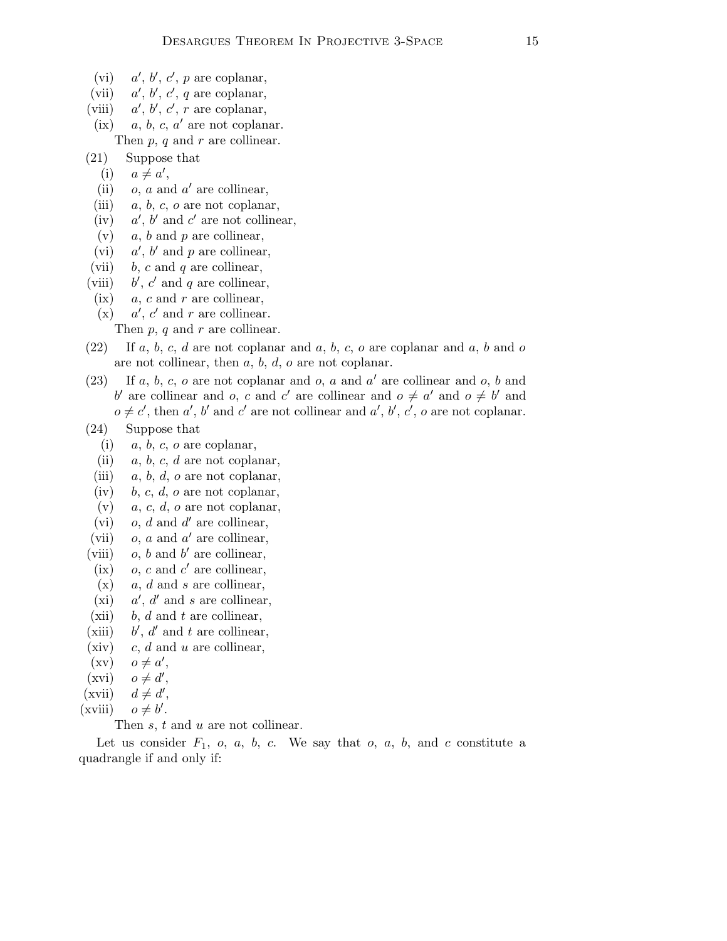- $(vi)$  $\prime, b', c', p$  are coplanar,
- $(vii)$  $\alpha'$ ,  $\alpha'$ ,  $\alpha'$  are coplanar,
- $(viii)$  $\vec{r}, \vec{b'}, \vec{c'}, \vec{r}$  are coplanar,
- $(ix)$  a, b, c, a' are not coplanar. Then  $p, q$  and  $r$  are collinear.
- (21) Suppose that
	- (i)  $a \neq a'$ ,
	- (ii)  $o, a$  and  $a'$  are collinear,
	- (iii)  $a, b, c, o$  are not coplanar,
	- $(iv)$  $\ell$ ,  $b'$  and  $c'$  are not collinear,
	- $(v)$  a, b and p are collinear,
- $(vi)$  $\mu$ ,  $b'$  and  $p$  are collinear,
- (vii) b, c and q are collinear,
- $(viii)$  $\alpha'$ ,  $c'$  and  $q$  are collinear,
- $(ix)$  a, c and r are collinear,
- $(x)$  $\mu$ ,  $c'$  and  $r$  are collinear.
	- Then  $p, q$  and  $r$  are collinear.
- $(22)$  If a, b, c, d are not coplanar and a, b, c, o are coplanar and a, b and o are not collinear, then  $a, b, d, o$  are not coplanar.
- (23) If  $a, b, c, o$  are not coplanar and  $o, a$  and  $a'$  are collinear and  $o, b$  and b' are collinear and o, c and c' are collinear and  $o \neq a'$  and  $o \neq b'$  and  $o \neq c'$ , then a', b' and c' are not collinear and a', b', c', o are not coplanar.
- (24) Suppose that
	- (i)  $a, b, c, o$  are coplanar,
	- (ii)  $a, b, c, d$  are not coplanar,
	- (iii)  $a, b, d, o$  are not coplanar,
	- (iv) b, c, d, o are not coplanar,
	- (v)  $a, c, d, o$  are not coplanar,
	- $(vi)$  *o, d* and *d'* are collinear,
- $(vii)$  *o, a* and *a'* are collinear,
- $(viii)$  *o, b* and *b'* are collinear,
- $(ix)$  o, c and c' are collinear,
- $(x)$  a, d and s are collinear,
- $(xi)$  $\mu$ ,  $d'$  and s are collinear,
- (xii) b, d and t are collinear,
- $(xiii)$  $\mu$ ,  $d'$  and t are collinear,
- $(xiv)$  c, d and u are collinear,
- $(xv)$   $o \neq a',$
- $(xvi)$   $o \neq d',$
- $(\overrightarrow{\text{xvii}})$   $d \neq d',$
- $(xviii)$  $\mathbf{r}$ .

Then  $s, t$  and  $u$  are not collinear.

Let us consider  $F_1$ ,  $o$ ,  $a$ ,  $b$ ,  $c$ . We say that  $o$ ,  $a$ ,  $b$ , and  $c$  constitute a quadrangle if and only if: